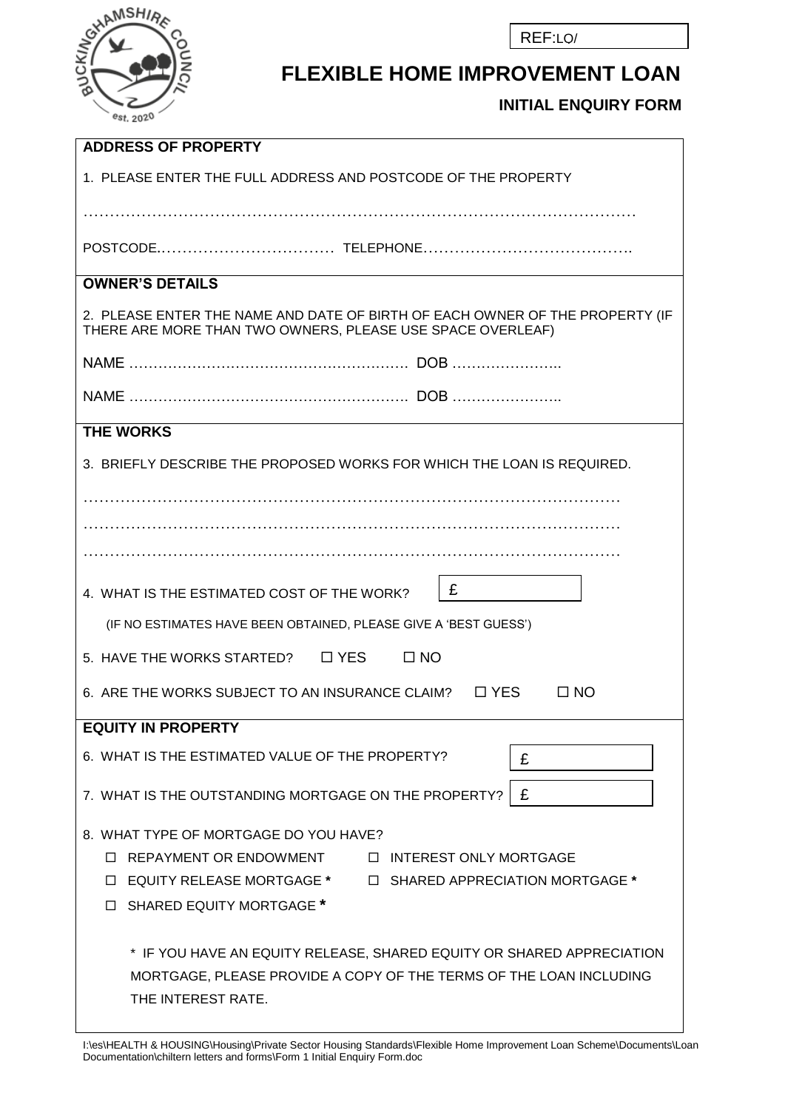REF:LQ/



## **FLEXIBLE HOME IMPROVEMENT LOAN**

**INITIAL ENQUIRY FORM** 

| <b>ADDRESS OF PROPERTY</b>                                                                                                                                                                          |  |  |  |
|-----------------------------------------------------------------------------------------------------------------------------------------------------------------------------------------------------|--|--|--|
| 1. PLEASE ENTER THE FULL ADDRESS AND POSTCODE OF THE PROPERTY                                                                                                                                       |  |  |  |
|                                                                                                                                                                                                     |  |  |  |
|                                                                                                                                                                                                     |  |  |  |
| <b>OWNER'S DETAILS</b>                                                                                                                                                                              |  |  |  |
| 2. PLEASE ENTER THE NAME AND DATE OF BIRTH OF EACH OWNER OF THE PROPERTY (IF<br>THERE ARE MORE THAN TWO OWNERS, PLEASE USE SPACE OVERLEAF)                                                          |  |  |  |
|                                                                                                                                                                                                     |  |  |  |
|                                                                                                                                                                                                     |  |  |  |
| <b>THE WORKS</b>                                                                                                                                                                                    |  |  |  |
| 3. BRIEFLY DESCRIBE THE PROPOSED WORKS FOR WHICH THE LOAN IS REQUIRED.                                                                                                                              |  |  |  |
|                                                                                                                                                                                                     |  |  |  |
| .                                                                                                                                                                                                   |  |  |  |
|                                                                                                                                                                                                     |  |  |  |
| £<br>4. WHAT IS THE ESTIMATED COST OF THE WORK?                                                                                                                                                     |  |  |  |
| (IF NO ESTIMATES HAVE BEEN OBTAINED, PLEASE GIVE A 'BEST GUESS')                                                                                                                                    |  |  |  |
| 5. HAVE THE WORKS STARTED?<br>$\square$ YES<br>$\Box$ NO                                                                                                                                            |  |  |  |
| 6. ARE THE WORKS SUBJECT TO AN INSURANCE CLAIM?<br>$\square$<br>$\Box$ NO                                                                                                                           |  |  |  |
| <b>EQUITY IN PROPERTY</b>                                                                                                                                                                           |  |  |  |
| 6. WHAT IS THE ESTIMATED VALUE OF THE PROPERTY?<br>£                                                                                                                                                |  |  |  |
| £<br>7. WHAT IS THE OUTSTANDING MORTGAGE ON THE PROPERTY?                                                                                                                                           |  |  |  |
| 8. WHAT TYPE OF MORTGAGE DO YOU HAVE?<br><b>INTEREST ONLY MORTGAGE</b><br>□ REPAYMENT OR ENDOWMENT<br>□ EQUITY RELEASE MORTGAGE *<br>□ SHARED APPRECIATION MORTGAGE *<br>□ SHARED EQUITY MORTGAGE * |  |  |  |
| * IF YOU HAVE AN EQUITY RELEASE, SHARED EQUITY OR SHARED APPRECIATION<br>MORTGAGE, PLEASE PROVIDE A COPY OF THE TERMS OF THE LOAN INCLUDING<br>THE INTEREST RATE.                                   |  |  |  |

I:\es\HEALTH & HOUSING\Housing\Private Sector Housing Standards\Flexible Home Improvement Loan Scheme\Documents\Loan Documentation\chiltern letters and forms\Form 1 Initial Enquiry Form.doc